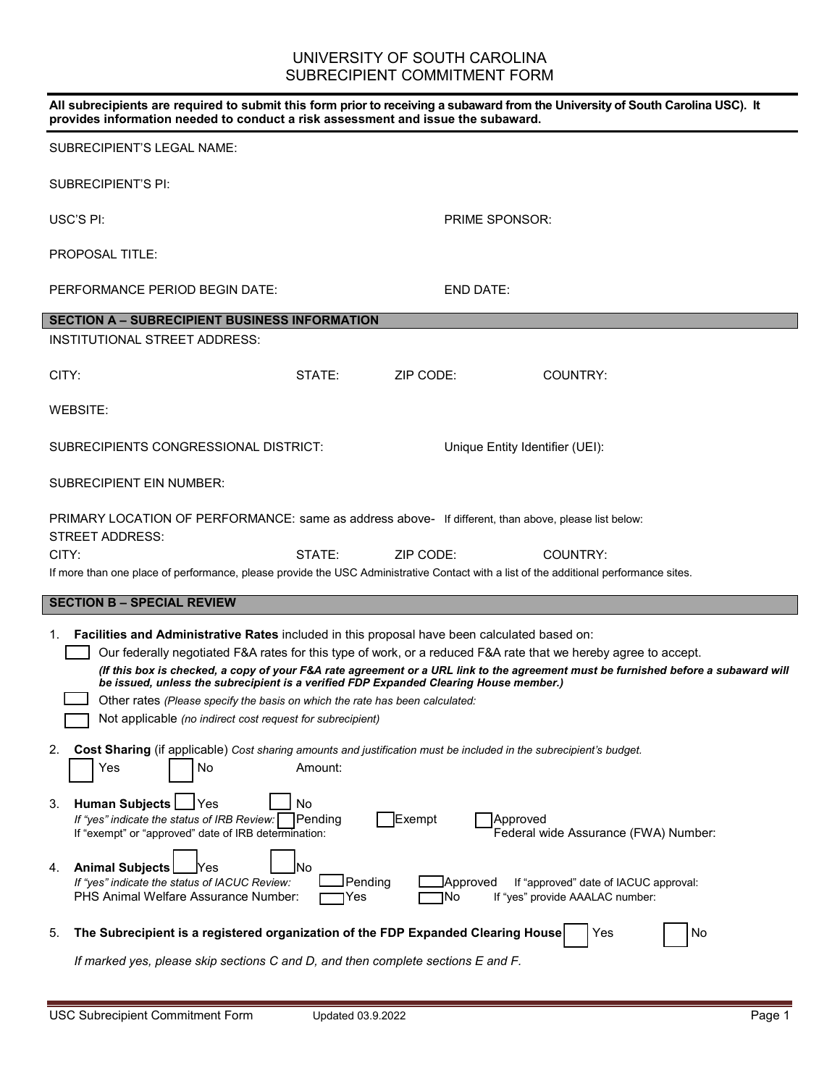# UNIVERSITY OF SOUTH CAROLINA SUBRECIPIENT COMMITMENT FORM

| All subrecipients are required to submit this form prior to receiving a subaward from the University of South Carolina USC). It<br>provides information needed to conduct a risk assessment and issue the subaward.                                                                                                                                                                                                                                                                                                                                                                                |                      |                 |                                                                          |    |  |
|----------------------------------------------------------------------------------------------------------------------------------------------------------------------------------------------------------------------------------------------------------------------------------------------------------------------------------------------------------------------------------------------------------------------------------------------------------------------------------------------------------------------------------------------------------------------------------------------------|----------------------|-----------------|--------------------------------------------------------------------------|----|--|
| <b>SUBRECIPIENT'S LEGAL NAME:</b>                                                                                                                                                                                                                                                                                                                                                                                                                                                                                                                                                                  |                      |                 |                                                                          |    |  |
| <b>SUBRECIPIENT'S PI:</b>                                                                                                                                                                                                                                                                                                                                                                                                                                                                                                                                                                          |                      |                 |                                                                          |    |  |
| USC'S PI:                                                                                                                                                                                                                                                                                                                                                                                                                                                                                                                                                                                          |                      |                 | <b>PRIME SPONSOR:</b>                                                    |    |  |
| <b>PROPOSAL TITLE:</b>                                                                                                                                                                                                                                                                                                                                                                                                                                                                                                                                                                             |                      |                 |                                                                          |    |  |
| PERFORMANCE PERIOD BEGIN DATE:                                                                                                                                                                                                                                                                                                                                                                                                                                                                                                                                                                     |                      | END DATE:       |                                                                          |    |  |
| <b>SECTION A - SUBRECIPIENT BUSINESS INFORMATION</b>                                                                                                                                                                                                                                                                                                                                                                                                                                                                                                                                               |                      |                 |                                                                          |    |  |
| <b>INSTITUTIONAL STREET ADDRESS:</b>                                                                                                                                                                                                                                                                                                                                                                                                                                                                                                                                                               |                      |                 |                                                                          |    |  |
| CITY:                                                                                                                                                                                                                                                                                                                                                                                                                                                                                                                                                                                              | STATF:               | ZIP CODE:       | COUNTRY:                                                                 |    |  |
| WEBSITE:                                                                                                                                                                                                                                                                                                                                                                                                                                                                                                                                                                                           |                      |                 |                                                                          |    |  |
| SUBRECIPIENTS CONGRESSIONAL DISTRICT:                                                                                                                                                                                                                                                                                                                                                                                                                                                                                                                                                              |                      |                 | Unique Entity Identifier (UEI):                                          |    |  |
| SUBRECIPIENT EIN NUMBER:                                                                                                                                                                                                                                                                                                                                                                                                                                                                                                                                                                           |                      |                 |                                                                          |    |  |
| PRIMARY LOCATION OF PERFORMANCE: same as address above- If different, than above, please list below:                                                                                                                                                                                                                                                                                                                                                                                                                                                                                               |                      |                 |                                                                          |    |  |
| STREET ADDRESS:                                                                                                                                                                                                                                                                                                                                                                                                                                                                                                                                                                                    |                      |                 |                                                                          |    |  |
| CITY:                                                                                                                                                                                                                                                                                                                                                                                                                                                                                                                                                                                              | STATE:               | ZIP CODE:       | COUNTRY:                                                                 |    |  |
| If more than one place of performance, please provide the USC Administrative Contact with a list of the additional performance sites.                                                                                                                                                                                                                                                                                                                                                                                                                                                              |                      |                 |                                                                          |    |  |
| <b>SECTION B - SPECIAL REVIEW</b>                                                                                                                                                                                                                                                                                                                                                                                                                                                                                                                                                                  |                      |                 |                                                                          |    |  |
| Facilities and Administrative Rates included in this proposal have been calculated based on:<br>1.<br>Our federally negotiated F&A rates for this type of work, or a reduced F&A rate that we hereby agree to accept.<br>(If this box is checked, a copy of your F&A rate agreement or a URL link to the agreement must be furnished before a subaward will<br>be issued, unless the subrecipient is a verified FDP Expanded Clearing House member.)<br>Other rates (Please specify the basis on which the rate has been calculated:<br>Not applicable (no indirect cost request for subrecipient) |                      |                 |                                                                          |    |  |
| 2.<br>Cost Sharing (if applicable) Cost sharing amounts and justification must be included in the subrecipient's budget.<br>Yes<br>No                                                                                                                                                                                                                                                                                                                                                                                                                                                              | Amount:              |                 |                                                                          |    |  |
| <b>Human Subjects</b><br>Yes<br>3.<br>If "yes" indicate the status of IRB Review:<br>If "exempt" or "approved" date of IRB determination:                                                                                                                                                                                                                                                                                                                                                                                                                                                          | No<br>Pending        | Exempt          | Approved<br>Federal wide Assurance (FWA) Number:                         |    |  |
| <b>Animal Subjects</b><br>4.<br>lYes<br>If "yes" indicate the status of IACUC Review:<br>PHS Animal Welfare Assurance Number:                                                                                                                                                                                                                                                                                                                                                                                                                                                                      | No<br>Pending<br>Yes | Approved<br>INo | If "approved" date of IACUC approval:<br>If "yes" provide AAALAC number: |    |  |
| The Subrecipient is a registered organization of the FDP Expanded Clearing House<br>5.                                                                                                                                                                                                                                                                                                                                                                                                                                                                                                             |                      |                 | Yes                                                                      | No |  |
| If marked yes, please skip sections C and D, and then complete sections E and F.                                                                                                                                                                                                                                                                                                                                                                                                                                                                                                                   |                      |                 |                                                                          |    |  |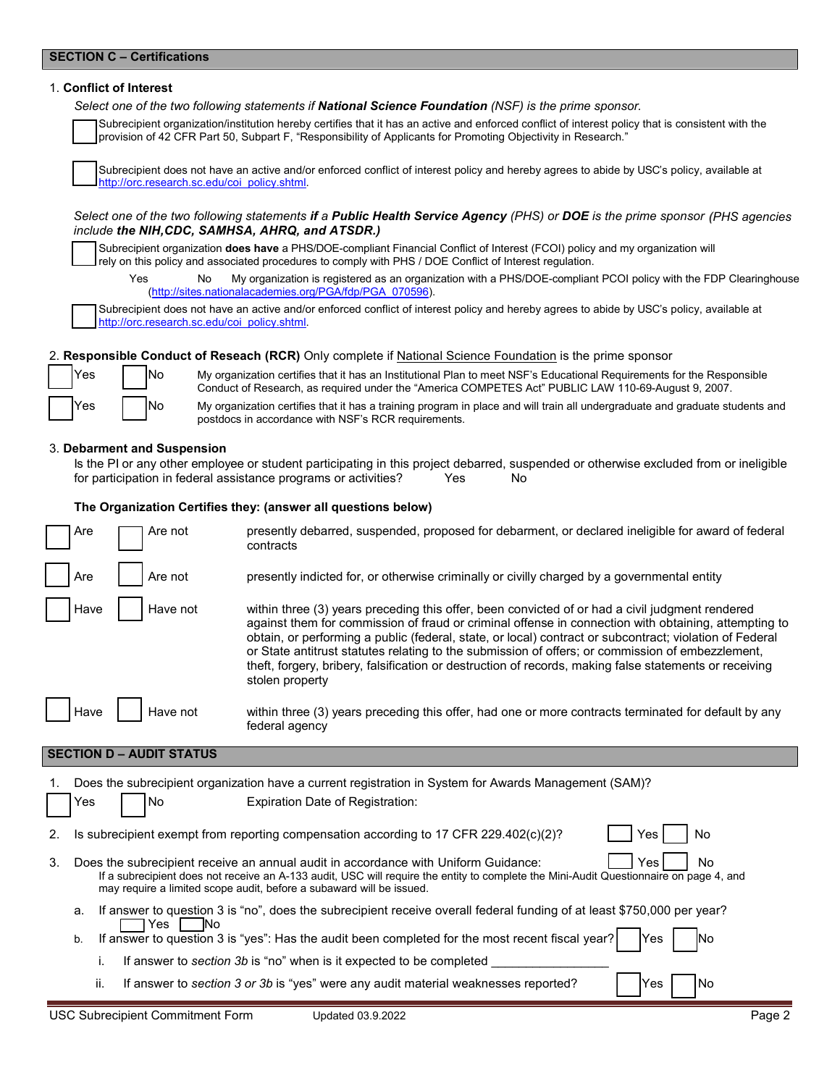# **SECTION C – Certifications**

### 1. **Conflict of Interest**

*Select one of the two following statements if National Science Foundation (NSF) is the prime sponsor.*

Subrecipient organization/institution hereby certifies that it has an active and enforced conflict of interest policy that is consistent with the provision of 42 CFR Part 50, Subpart F, "Responsibility of Applicants for Promoting Objectivity in Research."

Subrecipient does not have an active and/or enforced conflict of interest policy and hereby agrees to abide by USC's policy, available at [http://orc.research.sc.edu/coi\\_policy.shtml.](http://orc.research.sc.edu/coi_policy.shtml) 

#### *Select one of the two following statements if a Public Health Service Agency (PHS) or DOE is the prime sponsor (PHS agencies include the NIH,CDC, SAMHSA, AHRQ, and ATSDR.)*

Subrecipient organization **does have** a PHS/DOE-compliant Financial Conflict of Interest (FCOI) policy and my organization will rely on this policy and associated procedures to comply with PHS / DOE Conflict of Interest regulation.

Yes No My organization is registered as an organization with a PHS/DOE-compliant PCOI policy with the FDP Clearinghouse [\(http://sites.nationalacademies.org/PGA/fdp/PGA\\_070596\)](http://sites.nationalacademies.org/PGA/fdp/PGA_070596).

Subrecipient does not have an active and/or enforced conflict of interest policy and hereby agrees to abide by USC's policy, available at [http://orc.research.sc.edu/coi\\_policy.shtml.](http://orc.research.sc.edu/coi_policy.shtml)

## 2. **Responsible Conduct of Reseach (RCR)** Only complete if National Science Foundation is the prime sponsor



Yes No My organization certifies that it has an Institutional Plan to meet NSF's Educational Requirements for the Responsible Conduct of Research, as required under the "America COMPETES Act" PUBLIC LAW 110-69-August 9, 2007.

Yes | No My organization certifies that it has a training program in place and will train all undergraduate and graduate students and postdocs in accordance with NSF's RCR requirements.

#### 3. **Debarment and Suspension**

Is the PI or any other employee or student participating in this project debarred, suspended or otherwise excluded from or ineligible for participation in federal assistance programs or activities? Yes No

## **The Organization Certifies they: (answer all questions below)**

| Are  | Are not  | presently debarred, suspended, proposed for debarment, or declared ineligible for award of federal<br>contracts                                                                                                                                                                                                                                                                                                                                                                                                                                     |
|------|----------|-----------------------------------------------------------------------------------------------------------------------------------------------------------------------------------------------------------------------------------------------------------------------------------------------------------------------------------------------------------------------------------------------------------------------------------------------------------------------------------------------------------------------------------------------------|
| Are  | Are not  | presently indicted for, or otherwise criminally or civilly charged by a governmental entity                                                                                                                                                                                                                                                                                                                                                                                                                                                         |
| Have | Have not | within three (3) years preceding this offer, been convicted of or had a civil judgment rendered<br>against them for commission of fraud or criminal offense in connection with obtaining, attempting to<br>obtain, or performing a public (federal, state, or local) contract or subcontract; violation of Federal<br>or State antitrust statutes relating to the submission of offers; or commission of embezzlement,<br>theft, forgery, bribery, falsification or destruction of records, making false statements or receiving<br>stolen property |
| Have | Have not | within three (3) years preceding this offer, had one or more contracts terminated for default by any<br>federal agency                                                                                                                                                                                                                                                                                                                                                                                                                              |

# **SECTION D – AUDIT STATUS**

|    |     | Does the subrecipient organization have a current registration in System for Awards Management (SAM)?                                                                                                                                                                                                             |
|----|-----|-------------------------------------------------------------------------------------------------------------------------------------------------------------------------------------------------------------------------------------------------------------------------------------------------------------------|
|    | Yes | No<br>Expiration Date of Registration:                                                                                                                                                                                                                                                                            |
| 2. |     | Is subrecipient exempt from reporting compensation according to 17 CFR 229.402(c)(2)?<br>No<br>Yes                                                                                                                                                                                                                |
| 3. |     | No<br>Does the subrecipient receive an annual audit in accordance with Uniform Guidance:<br>Yes<br>If a subrecipient does not receive an A-133 audit, USC will require the entity to complete the Mini-Audit Questionnaire on page 4, and<br>may require a limited scope audit, before a subaward will be issued. |
|    | a.  | If answer to question 3 is "no", does the subrecipient receive overall federal funding of at least \$750,000 per year?<br><b>INo</b><br>Yes.                                                                                                                                                                      |
|    | b.  | If answer to question 3 is "yes": Has the audit been completed for the most recent fiscal year?<br>Yes.<br>lNo                                                                                                                                                                                                    |
|    |     | If answer to section 3b is "no" when is it expected to be completed                                                                                                                                                                                                                                               |
|    |     | If answer to section 3 or 3h is "yes" were any quidit material weaknesses reported?<br>lVec.<br>IN⊿<br>п.                                                                                                                                                                                                         |

ii. If answer to *section 3 or 3b* is "yes" were any audit material weaknesses reported?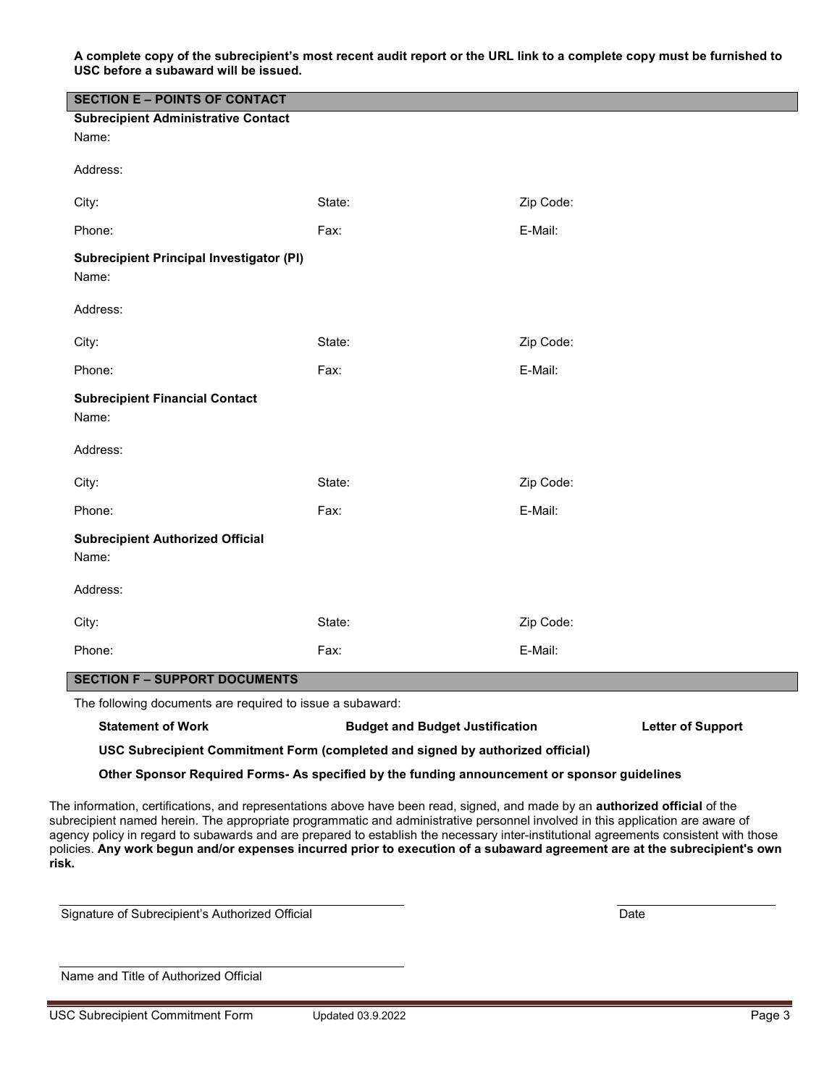**A complete copy of the subrecipient's most recent audit report or the URL link to a complete copy must be furnished to USC before a subaward will be issued.** 

| <b>SECTION E - POINTS OF CONTACT</b>                                                         |        |                                                                                                                                                                                                                                                                                                                                                                                                                                                                                                                                       |  |  |  |  |
|----------------------------------------------------------------------------------------------|--------|---------------------------------------------------------------------------------------------------------------------------------------------------------------------------------------------------------------------------------------------------------------------------------------------------------------------------------------------------------------------------------------------------------------------------------------------------------------------------------------------------------------------------------------|--|--|--|--|
| <b>Subrecipient Administrative Contact</b>                                                   |        |                                                                                                                                                                                                                                                                                                                                                                                                                                                                                                                                       |  |  |  |  |
| Name:                                                                                        |        |                                                                                                                                                                                                                                                                                                                                                                                                                                                                                                                                       |  |  |  |  |
| Address:                                                                                     |        |                                                                                                                                                                                                                                                                                                                                                                                                                                                                                                                                       |  |  |  |  |
| City:                                                                                        | State: | Zip Code:                                                                                                                                                                                                                                                                                                                                                                                                                                                                                                                             |  |  |  |  |
| Phone:                                                                                       | Fax:   | E-Mail:                                                                                                                                                                                                                                                                                                                                                                                                                                                                                                                               |  |  |  |  |
| <b>Subrecipient Principal Investigator (PI)</b><br>Name:                                     |        |                                                                                                                                                                                                                                                                                                                                                                                                                                                                                                                                       |  |  |  |  |
| Address:                                                                                     |        |                                                                                                                                                                                                                                                                                                                                                                                                                                                                                                                                       |  |  |  |  |
| City:                                                                                        | State: | Zip Code:                                                                                                                                                                                                                                                                                                                                                                                                                                                                                                                             |  |  |  |  |
| Phone:                                                                                       | Fax:   | E-Mail:                                                                                                                                                                                                                                                                                                                                                                                                                                                                                                                               |  |  |  |  |
| <b>Subrecipient Financial Contact</b><br>Name:                                               |        |                                                                                                                                                                                                                                                                                                                                                                                                                                                                                                                                       |  |  |  |  |
| Address:                                                                                     |        |                                                                                                                                                                                                                                                                                                                                                                                                                                                                                                                                       |  |  |  |  |
| City:                                                                                        | State: | Zip Code:                                                                                                                                                                                                                                                                                                                                                                                                                                                                                                                             |  |  |  |  |
| Phone:                                                                                       | Fax:   | E-Mail:                                                                                                                                                                                                                                                                                                                                                                                                                                                                                                                               |  |  |  |  |
| <b>Subrecipient Authorized Official</b><br>Name:                                             |        |                                                                                                                                                                                                                                                                                                                                                                                                                                                                                                                                       |  |  |  |  |
| Address:                                                                                     |        |                                                                                                                                                                                                                                                                                                                                                                                                                                                                                                                                       |  |  |  |  |
| City:                                                                                        | State: | Zip Code:                                                                                                                                                                                                                                                                                                                                                                                                                                                                                                                             |  |  |  |  |
| Phone:                                                                                       | Fax:   | E-Mail:                                                                                                                                                                                                                                                                                                                                                                                                                                                                                                                               |  |  |  |  |
| <b>SECTION F - SUPPORT DOCUMENTS</b>                                                         |        |                                                                                                                                                                                                                                                                                                                                                                                                                                                                                                                                       |  |  |  |  |
| The following documents are required to issue a subaward:                                    |        |                                                                                                                                                                                                                                                                                                                                                                                                                                                                                                                                       |  |  |  |  |
| <b>Statement of Work</b>                                                                     |        | <b>Budget and Budget Justification</b><br><b>Letter of Support</b>                                                                                                                                                                                                                                                                                                                                                                                                                                                                    |  |  |  |  |
| USC Subrecipient Commitment Form (completed and signed by authorized official)               |        |                                                                                                                                                                                                                                                                                                                                                                                                                                                                                                                                       |  |  |  |  |
| Other Sponsor Required Forms- As specified by the funding announcement or sponsor guidelines |        |                                                                                                                                                                                                                                                                                                                                                                                                                                                                                                                                       |  |  |  |  |
| risk.                                                                                        |        | The information, certifications, and representations above have been read, signed, and made by an authorized official of the<br>subrecipient named herein. The appropriate programmatic and administrative personnel involved in this application are aware of<br>agency policy in regard to subawards and are prepared to establish the necessary inter-institutional agreements consistent with those<br>policies. Any work begun and/or expenses incurred prior to execution of a subaward agreement are at the subrecipient's own |  |  |  |  |

Signature of Subrecipient's Authorized Official Date Date

Name and Title of Authorized Official